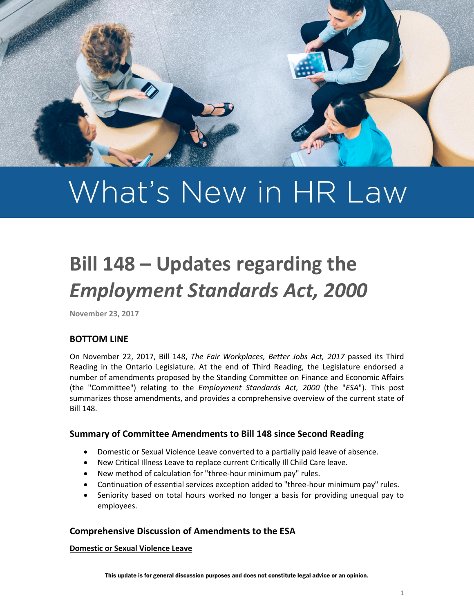

# What's New in HR Law

# **Bill 148 – Updates regarding the**  *Employment Standards Act, 2000*

**November 23, 2017**

# **BOTTOM LINE**

On November 22, 2017, Bill 148, *The Fair Workplaces, Better Jobs Act, 2017* passed its Third Reading in the Ontario Legislature. At the end of Third Reading, the Legislature endorsed a number of amendments proposed by the Standing Committee on Finance and Economic Affairs (the "Committee") relating to the *Employment Standards Act, 2000* (the "*ESA*"). This post summarizes those amendments, and provides a comprehensive overview of the current state of Bill 148.

## **Summary of Committee Amendments to Bill 148 since Second Reading**

- Domestic or Sexual Violence Leave converted to a partially paid leave of absence.
- New Critical Illness Leave to replace current Critically Ill Child Care leave.
- New method of calculation for "three-hour minimum pay" rules.
- Continuation of essential services exception added to "three-hour minimum pay" rules.
- Seniority based on total hours worked no longer a basis for providing unequal pay to employees.

#### **Comprehensive Discussion of Amendments to the ESA**

**Domestic or Sexual Violence Leave**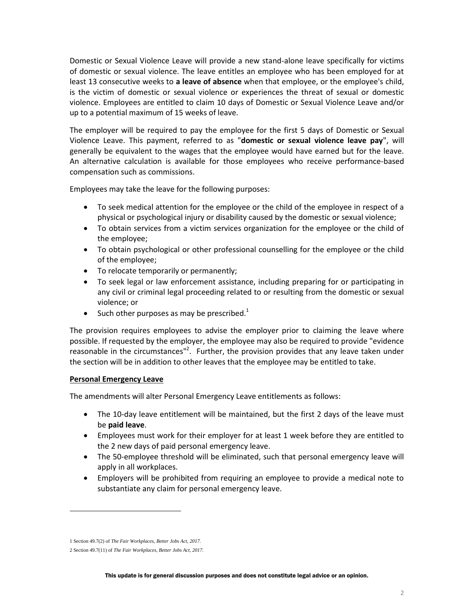Domestic or Sexual Violence Leave will provide a new stand-alone leave specifically for victims of domestic or sexual violence. The leave entitles an employee who has been employed for at least 13 consecutive weeks to **a leave of absence** when that employee, or the employee's child, is the victim of domestic or sexual violence or experiences the threat of sexual or domestic violence. Employees are entitled to claim 10 days of Domestic or Sexual Violence Leave and/or up to a potential maximum of 15 weeks of leave.

The employer will be required to pay the employee for the first 5 days of Domestic or Sexual Violence Leave. This payment, referred to as "**domestic or sexual violence leave pay**", will generally be equivalent to the wages that the employee would have earned but for the leave. An alternative calculation is available for those employees who receive performance-based compensation such as commissions.

Employees may take the leave for the following purposes:

- To seek medical attention for the employee or the child of the employee in respect of a physical or psychological injury or disability caused by the domestic or sexual violence;
- To obtain services from a victim services organization for the employee or the child of the employee;
- To obtain psychological or other professional counselling for the employee or the child of the employee;
- To relocate temporarily or permanently;
- To seek legal or law enforcement assistance, including preparing for or participating in any civil or criminal legal proceeding related to or resulting from the domestic or sexual violence; or
- $\bullet$  Such other purposes as may be prescribed.<sup>1</sup>

The provision requires employees to advise the employer prior to claiming the leave where possible. If requested by the employer, the employee may also be required to provide "evidence reasonable in the circumstances"<sup>2</sup>. Further, the provision provides that any leave taken under the section will be in addition to other leaves that the employee may be entitled to take.

#### **Personal Emergency Leave**

The amendments will alter Personal Emergency Leave entitlements as follows:

- The 10-day leave entitlement will be maintained, but the first 2 days of the leave must be **paid leave**.
- Employees must work for their employer for at least 1 week before they are entitled to the 2 new days of paid personal emergency leave.
- The 50-employee threshold will be eliminated, such that personal emergency leave will apply in all workplaces.
- Employers will be prohibited from requiring an employee to provide a medical note to substantiate any claim for personal emergency leave.

l

<sup>1</sup> Section 49.7(2) of *The Fair Workplaces, Better Jobs Act, 2017.*

<sup>2</sup> Section 49.7(11) of *The Fair Workplaces, Better Jobs Act, 2017.*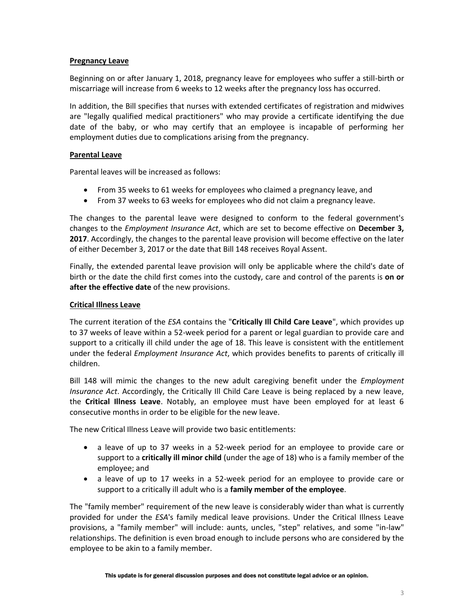#### **Pregnancy Leave**

Beginning on or after January 1, 2018, pregnancy leave for employees who suffer a still-birth or miscarriage will increase from 6 weeks to 12 weeks after the pregnancy loss has occurred.

In addition, the Bill specifies that nurses with extended certificates of registration and midwives are "legally qualified medical practitioners" who may provide a certificate identifying the due date of the baby, or who may certify that an employee is incapable of performing her employment duties due to complications arising from the pregnancy.

#### **Parental Leave**

Parental leaves will be increased as follows:

- From 35 weeks to 61 weeks for employees who claimed a pregnancy leave, and
- From 37 weeks to 63 weeks for employees who did not claim a pregnancy leave.

The changes to the parental leave were designed to conform to the federal government's changes to the *Employment Insurance Act*, which are set to become effective on **December 3, 2017**. Accordingly, the changes to the parental leave provision will become effective on the later of either December 3, 2017 or the date that Bill 148 receives Royal Assent.

Finally, the extended parental leave provision will only be applicable where the child's date of birth or the date the child first comes into the custody, care and control of the parents is **on or after the effective date** of the new provisions.

#### **Critical Illness Leave**

The current iteration of the *ESA* contains the "**Critically Ill Child Care Leave**", which provides up to 37 weeks of leave within a 52-week period for a parent or legal guardian to provide care and support to a critically ill child under the age of 18. This leave is consistent with the entitlement under the federal *Employment Insurance Act*, which provides benefits to parents of critically ill children.

Bill 148 will mimic the changes to the new adult caregiving benefit under the *Employment Insurance Act*. Accordingly, the Critically Ill Child Care Leave is being replaced by a new leave, the **Critical Illness Leave**. Notably, an employee must have been employed for at least 6 consecutive months in order to be eligible for the new leave.

The new Critical Illness Leave will provide two basic entitlements:

- a leave of up to 37 weeks in a 52-week period for an employee to provide care or support to a **critically ill minor child** (under the age of 18) who is a family member of the employee; and
- a leave of up to 17 weeks in a 52-week period for an employee to provide care or support to a critically ill adult who is a **family member of the employee**.

The "family member" requirement of the new leave is considerably wider than what is currently provided for under the *ESA*'s family medical leave provisions. Under the Critical Illness Leave provisions, a "family member" will include: aunts, uncles, "step" relatives, and some "in-law" relationships. The definition is even broad enough to include persons who are considered by the employee to be akin to a family member.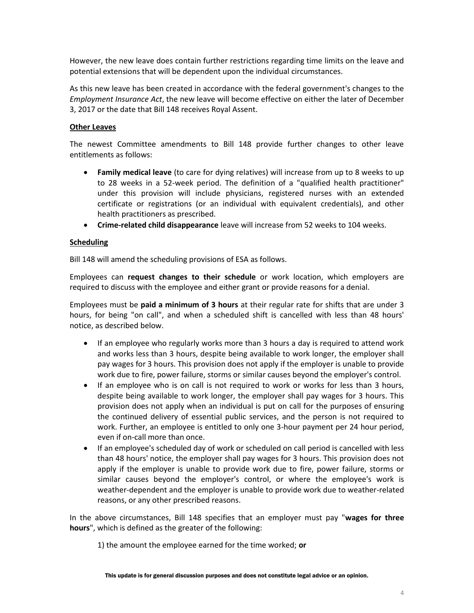However, the new leave does contain further restrictions regarding time limits on the leave and potential extensions that will be dependent upon the individual circumstances.

As this new leave has been created in accordance with the federal government's changes to the *Employment Insurance Act*, the new leave will become effective on either the later of December 3, 2017 or the date that Bill 148 receives Royal Assent.

#### **Other Leaves**

The newest Committee amendments to Bill 148 provide further changes to other leave entitlements as follows:

- **Family medical leave** (to care for dying relatives) will increase from up to 8 weeks to up to 28 weeks in a 52-week period. The definition of a "qualified health practitioner" under this provision will include physicians, registered nurses with an extended certificate or registrations (or an individual with equivalent credentials), and other health practitioners as prescribed.
- **Crime-related child disappearance** leave will increase from 52 weeks to 104 weeks.

#### **Scheduling**

Bill 148 will amend the scheduling provisions of ESA as follows.

Employees can **request changes to their schedule** or work location, which employers are required to discuss with the employee and either grant or provide reasons for a denial.

Employees must be **paid a minimum of 3 hours** at their regular rate for shifts that are under 3 hours, for being "on call", and when a scheduled shift is cancelled with less than 48 hours' notice, as described below.

- If an employee who regularly works more than 3 hours a day is required to attend work and works less than 3 hours, despite being available to work longer, the employer shall pay wages for 3 hours. This provision does not apply if the employer is unable to provide work due to fire, power failure, storms or similar causes beyond the employer's control.
- If an employee who is on call is not required to work or works for less than 3 hours, despite being available to work longer, the employer shall pay wages for 3 hours. This provision does not apply when an individual is put on call for the purposes of ensuring the continued delivery of essential public services, and the person is not required to work. Further, an employee is entitled to only one 3-hour payment per 24 hour period, even if on-call more than once.
- If an employee's scheduled day of work or scheduled on call period is cancelled with less than 48 hours' notice, the employer shall pay wages for 3 hours. This provision does not apply if the employer is unable to provide work due to fire, power failure, storms or similar causes beyond the employer's control, or where the employee's work is weather-dependent and the employer is unable to provide work due to weather-related reasons, or any other prescribed reasons.

In the above circumstances, Bill 148 specifies that an employer must pay "**wages for three hours**", which is defined as the greater of the following:

1) the amount the employee earned for the time worked; **or**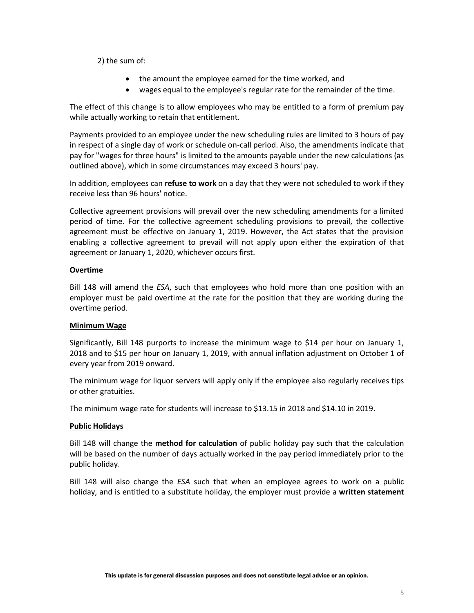2) the sum of:

- the amount the employee earned for the time worked, and
- wages equal to the employee's regular rate for the remainder of the time.

The effect of this change is to allow employees who may be entitled to a form of premium pay while actually working to retain that entitlement.

Payments provided to an employee under the new scheduling rules are limited to 3 hours of pay in respect of a single day of work or schedule on-call period. Also, the amendments indicate that pay for "wages for three hours" is limited to the amounts payable under the new calculations (as outlined above), which in some circumstances may exceed 3 hours' pay.

In addition, employees can **refuse to work** on a day that they were not scheduled to work if they receive less than 96 hours' notice.

Collective agreement provisions will prevail over the new scheduling amendments for a limited period of time. For the collective agreement scheduling provisions to prevail, the collective agreement must be effective on January 1, 2019. However, the Act states that the provision enabling a collective agreement to prevail will not apply upon either the expiration of that agreement or January 1, 2020, whichever occurs first.

#### **Overtime**

Bill 148 will amend the *ESA*, such that employees who hold more than one position with an employer must be paid overtime at the rate for the position that they are working during the overtime period.

#### **Minimum Wage**

Significantly, Bill 148 purports to increase the minimum wage to \$14 per hour on January 1, 2018 and to \$15 per hour on January 1, 2019, with annual inflation adjustment on October 1 of every year from 2019 onward.

The minimum wage for liquor servers will apply only if the employee also regularly receives tips or other gratuities.

The minimum wage rate for students will increase to \$13.15 in 2018 and \$14.10 in 2019.

#### **Public Holidays**

Bill 148 will change the **method for calculation** of public holiday pay such that the calculation will be based on the number of days actually worked in the pay period immediately prior to the public holiday.

Bill 148 will also change the *ESA* such that when an employee agrees to work on a public holiday, and is entitled to a substitute holiday, the employer must provide a **written statement**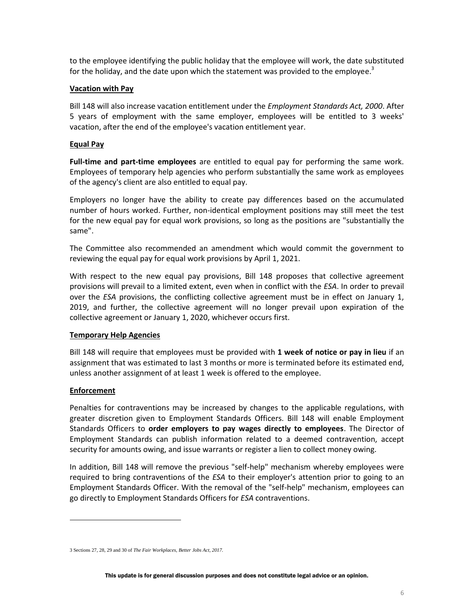to the employee identifying the public holiday that the employee will work, the date substituted for the holiday, and the date upon which the statement was provided to the employee. $3$ 

#### **Vacation with Pay**

Bill 148 will also increase vacation entitlement under the *Employment Standards Act, 2000*. After 5 years of employment with the same employer, employees will be entitled to 3 weeks' vacation, after the end of the employee's vacation entitlement year.

#### **Equal Pay**

**Full-time and part-time employees** are entitled to equal pay for performing the same work. Employees of temporary help agencies who perform substantially the same work as employees of the agency's client are also entitled to equal pay.

Employers no longer have the ability to create pay differences based on the accumulated number of hours worked. Further, non-identical employment positions may still meet the test for the new equal pay for equal work provisions, so long as the positions are "substantially the same".

The Committee also recommended an amendment which would commit the government to reviewing the equal pay for equal work provisions by April 1, 2021.

With respect to the new equal pay provisions, Bill 148 proposes that collective agreement provisions will prevail to a limited extent, even when in conflict with the *ESA*. In order to prevail over the *ESA* provisions, the conflicting collective agreement must be in effect on January 1, 2019, and further, the collective agreement will no longer prevail upon expiration of the collective agreement or January 1, 2020, whichever occurs first.

#### **Temporary Help Agencies**

Bill 148 will require that employees must be provided with **1 week of notice or pay in lieu** if an assignment that was estimated to last 3 months or more is terminated before its estimated end, unless another assignment of at least 1 week is offered to the employee.

#### **Enforcement**

 $\overline{a}$ 

Penalties for contraventions may be increased by changes to the applicable regulations, with greater discretion given to Employment Standards Officers. Bill 148 will enable Employment Standards Officers to **order employers to pay wages directly to employees**. The Director of Employment Standards can publish information related to a deemed contravention, accept security for amounts owing, and issue warrants or register a lien to collect money owing.

In addition, Bill 148 will remove the previous "self-help" mechanism whereby employees were required to bring contraventions of the *ESA* to their employer's attention prior to going to an Employment Standards Officer. With the removal of the "self-help" mechanism, employees can go directly to Employment Standards Officers for *ESA* contraventions.

<sup>3</sup> Sections 27, 28, 29 and 30 of *The Fair Workplaces, Better Jobs Act, 2017.*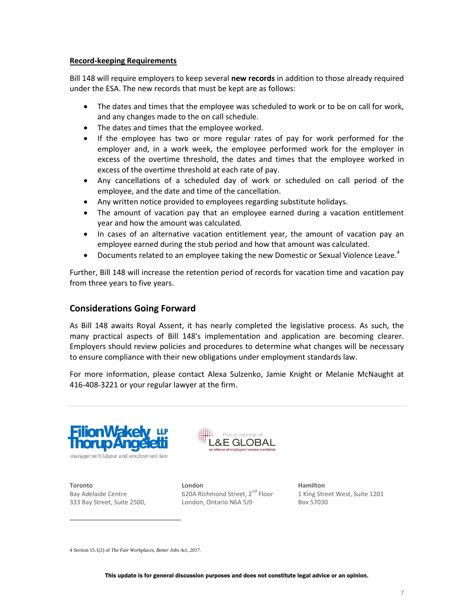#### **Record-keeping Requirements**

Bill 148 will require employers to keep several **new records** in addition to those already required under the ESA. The new records that must be kept are as follows:

- The dates and times that the employee was scheduled to work or to be on call for work, and any changes made to the on call schedule.
- The dates and times that the employee worked.
- If the employee has two or more regular rates of pay for work performed for the employer and, in a work week, the employee performed work for the employer in excess of the overtime threshold, the dates and times that the employee worked in excess of the overtime threshold at each rate of pay.
- Any cancellations of a scheduled day of work or scheduled on call period of the employee, and the date and time of the cancellation.
- Any written notice provided to employees regarding substitute holidays.
- The amount of vacation pay that an employee earned during a vacation entitlement year and how the amount was calculated.
- In cases of an alternative vacation entitlement year, the amount of vacation pay an employee earned during the stub period and how that amount was calculated.
- Documents related to an employee taking the new Domestic or Sexual Violence Leave.<sup>4</sup>

Further, Bill 148 will increase the retention period of records for vacation time and vacation pay from three years to five years.

## **Considerations Going Forward**

As Bill 148 awaits Royal Assent, it has nearly completed the legislative process. As such, the many practical aspects of Bill 148's implementation and application are becoming clearer. Employers should review policies and procedures to determine what changes will be necessary to ensure compliance with their new obligations under employment standards law.

For more information, please contact Alexa Sulzenko, Jamie Knight or Melanie McNaught at 416-408-3221 or your regular lawyer at the firm.



management labour and employment law



**Toronto** Bay Adelaide Centre 333 Bay Street, Suite 2500,

 $\overline{a}$ 

**London** 620A Richmond Street, 2<sup>nd</sup> Floor London, Ontario N6A 5J9

**Hamilton** 1 King Street West, Suite 1201 Box 57030

4 Section 15.1(2) of *The Fair Workplaces, Better Jobs Act, 2017.*